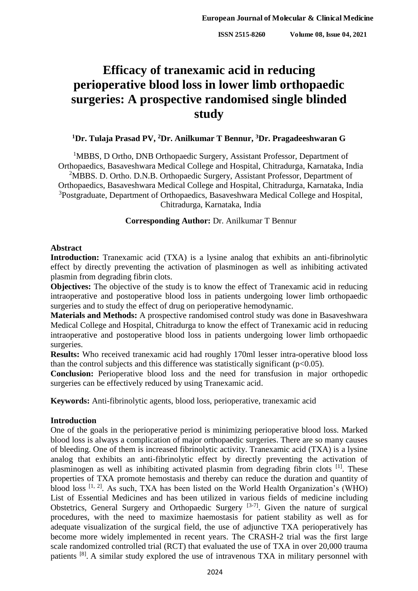# **Efficacy of tranexamic acid in reducing perioperative blood loss in lower limb orthopaedic surgeries: A prospective randomised single blinded study**

## **<sup>1</sup>Dr. Tulaja Prasad PV, <sup>2</sup>Dr. Anilkumar T Bennur, <sup>3</sup>Dr. Pragadeeshwaran G**

<sup>1</sup>MBBS, D Ortho, DNB Orthopaedic Surgery, Assistant Professor, Department of Orthopaedics, Basaveshwara Medical College and Hospital, Chitradurga, Karnataka, India <sup>2</sup>MBBS. D. Ortho. D.N.B. Orthopaedic Surgery, Assistant Professor, Department of Orthopaedics, Basaveshwara Medical College and Hospital, Chitradurga, Karnataka, India <sup>3</sup>Postgraduate, Department of Orthopaedics, Basaveshwara Medical College and Hospital, Chitradurga, Karnataka, India

## **Corresponding Author:** Dr. Anilkumar T Bennur

### **Abstract**

**Introduction:** Tranexamic acid (TXA) is a lysine analog that exhibits an anti-fibrinolytic effect by directly preventing the activation of plasminogen as well as inhibiting activated plasmin from degrading fibrin clots.

**Objectives:** The objective of the study is to know the effect of Tranexamic acid in reducing intraoperative and postoperative blood loss in patients undergoing lower limb orthopaedic surgeries and to study the effect of drug on perioperative hemodynamic.

**Materials and Methods:** A prospective randomised control study was done in Basaveshwara Medical College and Hospital, Chitradurga to know the effect of Tranexamic acid in reducing intraoperative and postoperative blood loss in patients undergoing lower limb orthopaedic surgeries.

**Results:** Who received tranexamic acid had roughly 170ml lesser intra-operative blood loss than the control subjects and this difference was statistically significant ( $p<0.05$ ).

**Conclusion:** Perioperative blood loss and the need for transfusion in major orthopedic surgeries can be effectively reduced by using Tranexamic acid.

**Keywords:** Anti-fibrinolytic agents, blood loss, perioperative, tranexamic acid

## **Introduction**

One of the goals in the perioperative period is minimizing perioperative blood loss. Marked blood loss is always a complication of major orthopaedic surgeries. There are so many causes of bleeding. One of them is increased fibrinolytic activity. Tranexamic acid (TXA) is a lysine analog that exhibits an anti-fibrinolytic effect by directly preventing the activation of plasminogen as well as inhibiting activated plasmin from degrading fibrin clots <sup>[1]</sup>. These properties of TXA promote hemostasis and thereby can reduce the duration and quantity of blood loss  $[1, 2]$ . As such, TXA has been listed on the World Health Organization's (WHO) List of Essential Medicines and has been utilized in various fields of medicine including Obstetrics, General Surgery and Orthopaedic Surgery  $[3-7]$ . Given the nature of surgical procedures, with the need to maximize haemostasis for patient stability as well as for adequate visualization of the surgical field, the use of adjunctive TXA perioperatively has become more widely implemented in recent years. The CRASH-2 trial was the first large scale randomized controlled trial (RCT) that evaluated the use of TXA in over 20,000 trauma patients <sup>[8]</sup>. A similar study explored the use of intravenous TXA in military personnel with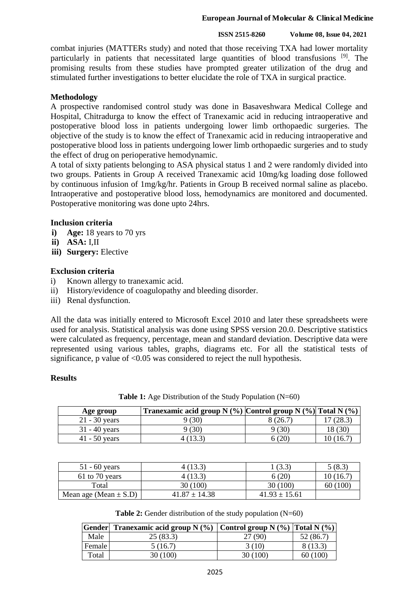#### **ISSN 2515-8260 Volume 08, Issue 04, 2021**

combat injuries (MATTERs study) and noted that those receiving TXA had lower mortality particularly in patients that necessitated large quantities of blood transfusions <sup>[9]</sup>. The promising results from these studies have prompted greater utilization of the drug and stimulated further investigations to better elucidate the role of TXA in surgical practice.

## **Methodology**

A prospective randomised control study was done in Basaveshwara Medical College and Hospital, Chitradurga to know the effect of Tranexamic acid in reducing intraoperative and postoperative blood loss in patients undergoing lower limb orthopaedic surgeries. The objective of the study is to know the effect of Tranexamic acid in reducing intraoperative and postoperative blood loss in patients undergoing lower limb orthopaedic surgeries and to study the effect of drug on perioperative hemodynamic.

A total of sixty patients belonging to ASA physical status 1 and 2 were randomly divided into two groups. Patients in Group A received Tranexamic acid 10mg/kg loading dose followed by continuous infusion of 1mg/kg/hr. Patients in Group B received normal saline as placebo. Intraoperative and postoperative blood loss, hemodynamics are monitored and documented. Postoperative monitoring was done upto 24hrs.

### **Inclusion criteria**

- **i) Age:** 18 years to 70 yrs
- **ii) ASA:** I,II
- **iii) Surgery:** Elective

#### **Exclusion criteria**

- i) Known allergy to tranexamic acid.
- ii) History/evidence of coagulopathy and bleeding disorder.
- iii) Renal dysfunction.

All the data was initially entered to Microsoft Excel 2010 and later these spreadsheets were used for analysis. Statistical analysis was done using SPSS version 20.0. Descriptive statistics were calculated as frequency, percentage, mean and standard deviation. Descriptive data were represented using various tables, graphs, diagrams etc. For all the statistical tests of significance, p value of  $\leq 0.05$  was considered to reject the null hypothesis.

#### **Results**

**Table 1:** Age Distribution of the Study Population (N=60)

| Age group       | Tranexamic acid group N $(\%)$ Control group N $(\%)$ Total N $(\%)$ |         |        |
|-----------------|----------------------------------------------------------------------|---------|--------|
| $21 - 30$ years | ) (30)                                                               | 8 (26.7 | (28.3) |
| $31 - 40$ years | ) (30)                                                               | (30)    | 18 (30 |
| $41 - 50$ years | (13.3)                                                               | 5 (20)  | 16.    |

| $51 - 60$ years           | 4(13.3)           | (3.3              | 5(8.3)    |
|---------------------------|-------------------|-------------------|-----------|
| $61$ to 70 years          | 4 (13.3)          | 6(20)             | 10 (16.7) |
| Total                     | 30 (100)          | 30(100)           | 60(100)   |
| Mean age (Mean $\pm$ S.D) | $41.87 \pm 14.38$ | $41.93 \pm 15.61$ |           |

**Table 2:** Gender distribution of the study population (N=60)

|        | Gender Tranexamic acid group N $(\%)$ Control group N $(\%)$ Total N $(\%)$ |          |           |
|--------|-----------------------------------------------------------------------------|----------|-----------|
| Male   | 25(83.3)                                                                    | 27 (90)  | 52 (86.7) |
| Female | 5(16.7)                                                                     | 3(10)    | 8 (13.3)  |
| Total  | 30(100)                                                                     | 30 (100) | 60(100)   |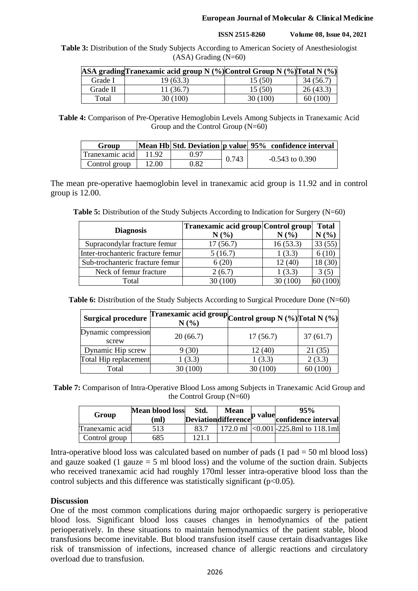**ISSN 2515-8260 Volume 08, Issue 04, 2021**

**Table 3:** Distribution of the Study Subjects According to American Society of Anesthesiologist (ASA) Grading (N=60)

|          | ASA gradingTranexamic acid group N (%) Control Group N (%) Total N (%) |          |           |
|----------|------------------------------------------------------------------------|----------|-----------|
| Grade I  | 19(63.3)                                                               | 15(50)   | 34 (56.7) |
| Grade II | 11 (36.7)                                                              | 15(50)   | 26(43.3)  |
| Total    | 30 (100)                                                               | 30 (100) | 60(100)   |

**Table 4:** Comparison of Pre-Operative Hemoglobin Levels Among Subjects in Tranexamic Acid Group and the Control Group (N=60)

| Group           |       |      |       | Mean Hb Std. Deviation p value 95% confidence interval |
|-----------------|-------|------|-------|--------------------------------------------------------|
| Tranexamic acid | 11.92 | 0.97 | 0.743 |                                                        |
| Control group   | 12.00 | 0.82 |       | $-0.543$ to $0.390$                                    |

The mean pre-operative haemoglobin level in tranexamic acid group is 11.92 and in control group is 12.00.

**Table 5:** Distribution of the Study Subjects According to Indication for Surgery (N=60)

| <b>Diagnosis</b>                  | Tranexamic acid group Control group |          | <b>Total</b> |
|-----------------------------------|-------------------------------------|----------|--------------|
|                                   | N(%                                 | N(%)     | (% )         |
| Supracondylar fracture femur      | 17(56.7)                            | 16(53.3) |              |
| Inter-trochanteric fracture femur | 5(16.7)                             | 1(3.3)   |              |
| Sub-trochanteric fracture femur   | 6(20)                               | 12 (40)  | 18 (30)      |
| Neck of femur fracture            | 2(6.7)                              | 1(3.3)   | 3 (5         |
| Total                             | 30 (100)                            | 30 (100) |              |

Table 6: Distribution of the Study Subjects According to Surgical Procedure Done (N=60)

| <b>Surgical procedure</b>    | Tranexamic acid group Control group N (%) Total N (%)<br>N(%) |          |          |
|------------------------------|---------------------------------------------------------------|----------|----------|
| Dynamic compression<br>screw | 20(66.7)                                                      | 17(56.7) | 37(61.7) |
| Dynamic Hip screw            | 9(30)                                                         | 12(40)   | 21(35)   |
| Total Hip replacement        | 1(3.3)                                                        | 1(3.3)   | 2(3.3)   |
| Total                        | 30 (100)                                                      | 30(100)  | 60 (100) |

**Table 7:** Comparison of Intra-Operative Blood Loss among Subjects in Tranexamic Acid Group and the Control Group (N=60)

| Group           | <b>Mean blood loss</b><br>mľ | Std.       | <b>Mean</b><br>Deviationdifference pvalue | 95%<br>confidence interval             |
|-----------------|------------------------------|------------|-------------------------------------------|----------------------------------------|
| Tranexamic acid | 513                          | 83.7       |                                           | 172.0 ml $ <0.001$ -225.8ml to 118.1ml |
| Control group   | 685                          | $121^{-1}$ |                                           |                                        |

Intra-operative blood loss was calculated based on number of pads  $(1$  pad = 50 ml blood loss) and gauze soaked (1 gauze  $= 5$  ml blood loss) and the volume of the suction drain. Subjects who received tranexamic acid had roughly 170ml lesser intra-operative blood loss than the control subjects and this difference was statistically significant ( $p<0.05$ ).

## **Discussion**

One of the most common complications during major orthopaedic surgery is perioperative blood loss. Significant blood loss causes changes in hemodynamics of the patient perioperatively. In these situations to maintain hemodynamics of the patient stable, blood transfusions become inevitable. But blood transfusion itself cause certain disadvantages like risk of transmission of infections, increased chance of allergic reactions and circulatory overload due to transfusion.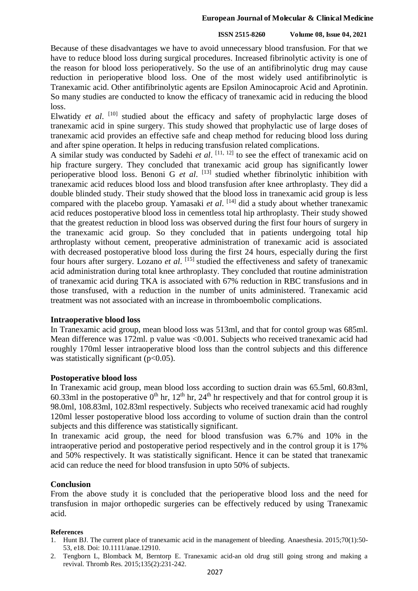#### **ISSN 2515-8260 Volume 08, Issue 04, 2021**

Because of these disadvantages we have to avoid unnecessary blood transfusion. For that we have to reduce blood loss during surgical procedures. Increased fibrinolytic activity is one of the reason for blood loss perioperatively. So the use of an antifibrinolytic drug may cause reduction in perioperative blood loss. One of the most widely used antifibrinolytic is Tranexamic acid. Other antifibrinolytic agents are Epsilon Aminocaproic Acid and Aprotinin. So many studies are conducted to know the efficacy of tranexamic acid in reducing the blood loss.

Elwatidy et al. <sup>[10]</sup> studied about the efficacy and safety of prophylactic large doses of tranexamic acid in spine surgery. This study showed that prophylactic use of large doses of tranexamic acid provides an effective safe and cheap method for reducing blood loss during and after spine operation. It helps in reducing transfusion related complications.

A similar study was conducted by Sadehi *et al*. [11, 12] to see the effect of tranexamic acid on hip fracture surgery. They concluded that tranexamic acid group has significantly lower perioperative blood loss. Benoni G *et al*. [13] studied whether fibrinolytic inhibition with tranexamic acid reduces blood loss and blood transfusion after knee arthroplasty. They did a double blinded study. Their study showed that the blood loss in tranexamic acid group is less compared with the placebo group. Yamasaki *et al*. [14] did a study about whether tranexamic acid reduces postoperative blood loss in cementless total hip arthroplasty. Their study showed that the greatest reduction in blood loss was observed during the first four hours of surgery in the tranexamic acid group. So they concluded that in patients undergoing total hip arthroplasty without cement, preoperative administration of tranexamic acid is associated with decreased postoperative blood loss during the first 24 hours, especially during the first four hours after surgery. Lozano *et al*. [15] studied the effectiveness and safety of tranexamic acid administration during total knee arthroplasty. They concluded that routine administration of tranexamic acid during TKA is associated with 67% reduction in RBC transfusions and in those transfused, with a reduction in the number of units administered. Tranexamic acid treatment was not associated with an increase in thromboembolic complications.

#### **Intraoperative blood loss**

In Tranexamic acid group, mean blood loss was 513ml, and that for contol group was 685ml. Mean difference was 172ml. p value was <0.001. Subjects who received tranexamic acid had roughly 170ml lesser intraoperative blood loss than the control subjects and this difference was statistically significant  $(p<0.05)$ .

## **Postoperative blood loss**

In Tranexamic acid group, mean blood loss according to suction drain was 65.5ml, 60.83ml, 60.33ml in the postoperative  $0<sup>th</sup>$  hr,  $12<sup>th</sup>$  hr,  $24<sup>th</sup>$  hr respectively and that for control group it is 98.0ml, 108.83ml, 102.83ml respectively. Subjects who received tranexamic acid had roughly 120ml lesser postoperative blood loss according to volume of suction drain than the control subjects and this difference was statistically significant.

In tranexamic acid group, the need for blood transfusion was 6.7% and 10% in the intraoperative period and postoperative period respectively and in the control group it is 17% and 50% respectively. It was statistically significant. Hence it can be stated that tranexamic acid can reduce the need for blood transfusion in upto 50% of subjects.

#### **Conclusion**

From the above study it is concluded that the perioperative blood loss and the need for transfusion in major orthopedic surgeries can be effectively reduced by using Tranexamic acid.

#### **References**

- 1. Hunt BJ. The current place of tranexamic acid in the management of bleeding. Anaesthesia. 2015;70(1):50- 53, e18. Doi: 10.1111/anae.12910.
- 2. Tengborn L, Blomback M, Berntorp E. Tranexamic acid-an old drug still going strong and making a revival. Thromb Res. 2015;135(2):231-242.